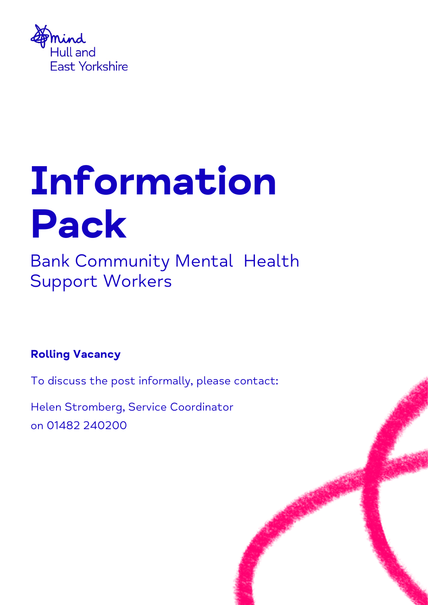

# Information Pack

Bank Community Mental Health Support Workers

## Rolling Vacancy

To discuss the post informally, please contact:

Helen Stromberg, Service Coordinator on 01482 240200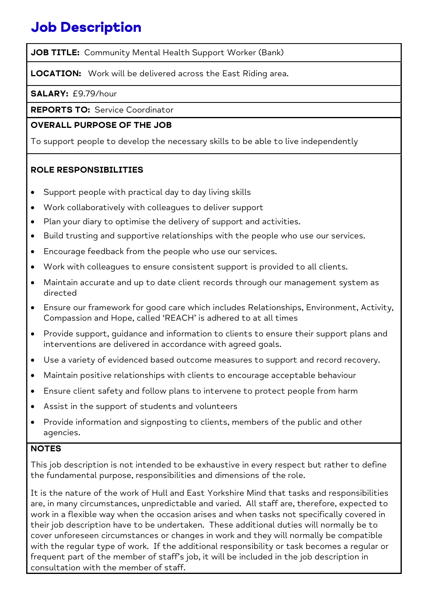# Job Description

JOB TITLE: Community Mental Health Support Worker (Bank)

LOCATION: Work will be delivered across the East Riding area.

SALARY: £9.79/hour

REPORTS TO: Service Coordinator

## OVERALL PURPOSE OF THE JOB

To support people to develop the necessary skills to be able to live independently

## ROLE RESPONSIBILITIES

- Support people with practical day to day living skills
- Work collaboratively with colleagues to deliver support
- Plan your diary to optimise the delivery of support and activities.
- Build trusting and supportive relationships with the people who use our services.
- Encourage feedback from the people who use our services.
- Work with colleagues to ensure consistent support is provided to all clients.
- Maintain accurate and up to date client records through our management system as directed
- Ensure our framework for good care which includes Relationships, Environment, Activity, Compassion and Hope, called 'REACH' is adhered to at all times
- Provide support, guidance and information to clients to ensure their support plans and interventions are delivered in accordance with agreed goals.
- Use a variety of evidenced based outcome measures to support and record recovery.
- Maintain positive relationships with clients to encourage acceptable behaviour
- Ensure client safety and follow plans to intervene to protect people from harm
- Assist in the support of students and volunteers
- Provide information and signposting to clients, members of the public and other agencies.

## **NOTES**

This job description is not intended to be exhaustive in every respect but rather to define the fundamental purpose, responsibilities and dimensions of the role.

It is the nature of the work of Hull and East Yorkshire Mind that tasks and responsibilities are, in many circumstances, unpredictable and varied. All staff are, therefore, expected to work in a flexible way when the occasion arises and when tasks not specifically covered in their job description have to be undertaken. These additional duties will normally be to cover unforeseen circumstances or changes in work and they will normally be compatible with the regular type of work. If the additional responsibility or task becomes a regular or frequent part of the member of staff's job, it will be included in the job description in consultation with the member of staff.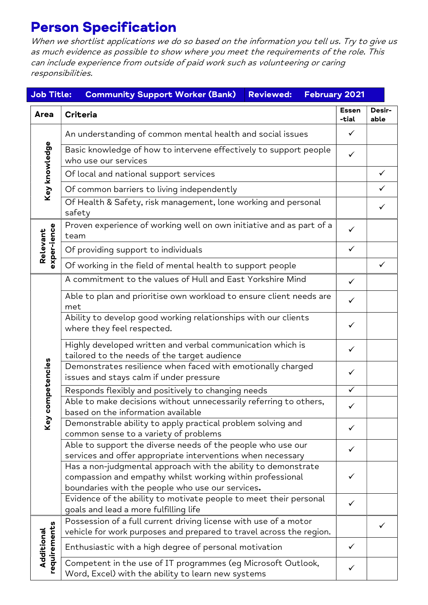# Person Specification

When we shortlist applications we do so based on the information you tell us. Try to give us as much evidence as possible to show where you meet the requirements of the role. This can include experience from outside of paid work such as volunteering or caring responsibilities.

| February 2021<br><b>Job Title:</b><br><b>Community Support Worker (Bank)</b><br><b>Reviewed:</b> |                                                                                                                                                                                |                       |                |
|--------------------------------------------------------------------------------------------------|--------------------------------------------------------------------------------------------------------------------------------------------------------------------------------|-----------------------|----------------|
| Area                                                                                             | <b>Criteria</b>                                                                                                                                                                | <b>Essen</b><br>-tial | Desir-<br>able |
| Key knowledge                                                                                    | An understanding of common mental health and social issues                                                                                                                     | ✓                     |                |
|                                                                                                  | Basic knowledge of how to intervene effectively to support people<br>who use our services                                                                                      | ✓                     |                |
|                                                                                                  | Of local and national support services                                                                                                                                         |                       | $\checkmark$   |
|                                                                                                  | Of common barriers to living independently                                                                                                                                     |                       | $\checkmark$   |
|                                                                                                  | Of Health & Safety, risk management, lone working and personal<br>safety                                                                                                       |                       | ✓              |
| exper-ience<br>Relevant                                                                          | Proven experience of working well on own initiative and as part of a<br>team                                                                                                   | $\checkmark$          |                |
|                                                                                                  | Of providing support to individuals                                                                                                                                            | ✓                     |                |
|                                                                                                  | Of working in the field of mental health to support people                                                                                                                     |                       | ✓              |
| ompetencies<br>Key c                                                                             | A commitment to the values of Hull and East Yorkshire Mind                                                                                                                     | $\checkmark$          |                |
|                                                                                                  | Able to plan and prioritise own workload to ensure client needs are<br>met                                                                                                     | $\checkmark$          |                |
|                                                                                                  | Ability to develop good working relationships with our clients<br>where they feel respected.                                                                                   | ✓                     |                |
|                                                                                                  | Highly developed written and verbal communication which is<br>tailored to the needs of the target audience                                                                     | ✓                     |                |
|                                                                                                  | Demonstrates resilience when faced with emotionally charged<br>issues and stays calm if under pressure                                                                         | ✓                     |                |
|                                                                                                  | Responds flexibly and positively to changing needs                                                                                                                             | $\checkmark$          |                |
|                                                                                                  | Able to make decisions without unnecessarily referring to others,<br>based on the information available                                                                        | $\checkmark$          |                |
|                                                                                                  | Demonstrable ability to apply practical problem solving and<br>common sense to a variety of problems                                                                           |                       |                |
|                                                                                                  | Able to support the diverse needs of the people who use our<br>services and offer appropriate interventions when necessary                                                     | ✓                     |                |
|                                                                                                  | Has a non-judgmental approach with the ability to demonstrate<br>compassion and empathy whilst working within professional<br>boundaries with the people who use our services. |                       |                |
|                                                                                                  | Evidence of the ability to motivate people to meet their personal<br>goals and lead a more fulfilling life                                                                     | ✓                     |                |
| requirements<br>Additional                                                                       | Possession of a full current driving license with use of a motor<br>vehicle for work purposes and prepared to travel across the region.                                        |                       | ✓              |
|                                                                                                  | Enthusiastic with a high degree of personal motivation                                                                                                                         | ✓                     |                |
|                                                                                                  | Competent in the use of IT programmes (eg Microsoft Outlook,<br>Word, Excel) with the ability to learn new systems                                                             | ✓                     |                |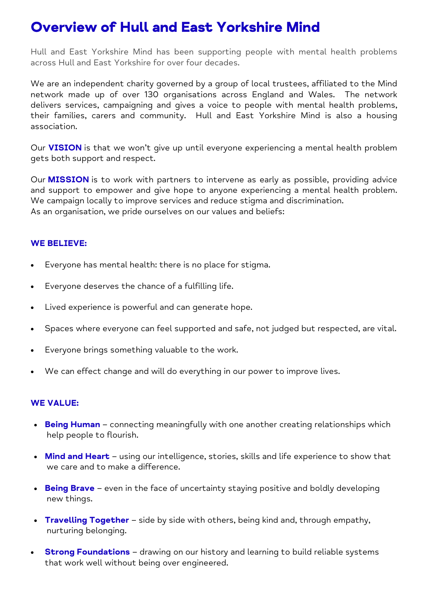# Overview of Hull and East Yorkshire Mind

Hull and East Yorkshire Mind has been supporting people with mental health problems across Hull and East Yorkshire for over four decades.

We are an independent charity governed by a group of local trustees, affiliated to the Mind network made up of over 130 organisations across England and Wales. The network delivers services, campaigning and gives a voice to people with mental health problems, their families, carers and community. Hull and East Yorkshire Mind is also a housing association.

Our **VISION** is that we won't give up until everyone experiencing a mental health problem gets both support and respect.

Our **MISSION** is to work with partners to intervene as early as possible, providing advice and support to empower and give hope to anyone experiencing a mental health problem. We campaign locally to improve services and reduce stigma and discrimination. As an organisation, we pride ourselves on our values and beliefs:

## WE BELIEVE:

- Everyone has mental health: there is no place for stigma.
- Everyone deserves the chance of a fulfilling life.
- Lived experience is powerful and can generate hope.
- Spaces where everyone can feel supported and safe, not judged but respected, are vital.
- Everyone brings something valuable to the work.
- We can effect change and will do everything in our power to improve lives.

## WE VALUE:

- Being Human connecting meaningfully with one another creating relationships which help people to flourish.
- Mind and Heart using our intelligence, stories, skills and life experience to show that we care and to make a difference.
- $\bullet$  Being Brave even in the face of uncertainty staying positive and boldly developing new things.
- Travelling Together side by side with others, being kind and, through empathy, nurturing belonging.
- **Strong Foundations** drawing on our history and learning to build reliable systems that work well without being over engineered.